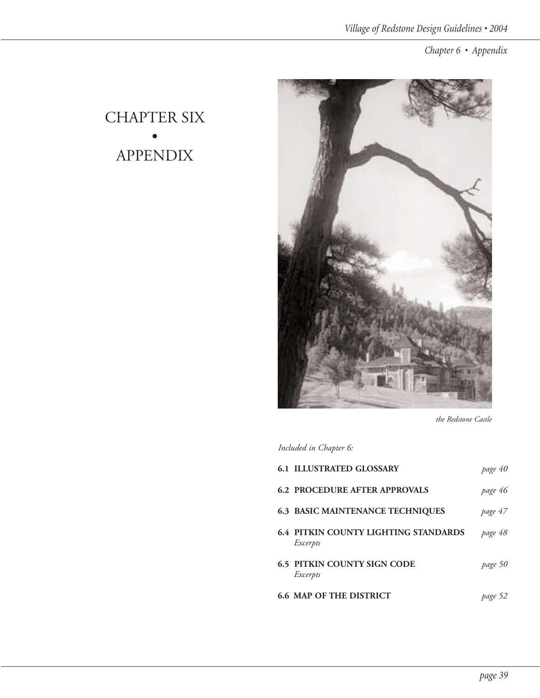## CHAPTER SIX • APPENDIX



*the Redstone Castle*

*Included in Chapter 6:*

| <b>6.1 ILLUSTRATED GLOSSARY</b>                         | page 40 |
|---------------------------------------------------------|---------|
| <b>6.2 PROCEDURE AFTER APPROVALS</b>                    | page 46 |
| <b>6.3 BASIC MAINTENANCE TECHNIQUES</b>                 | page 47 |
| <b>6.4 PITKIN COUNTY LIGHTING STANDARDS</b><br>Excerpts | page 48 |
| <b>6.5 PITKIN COUNTY SIGN CODE</b><br>Excerpts          | page 50 |
| <b>6.6 MAP OF THE DISTRICT</b>                          | page 52 |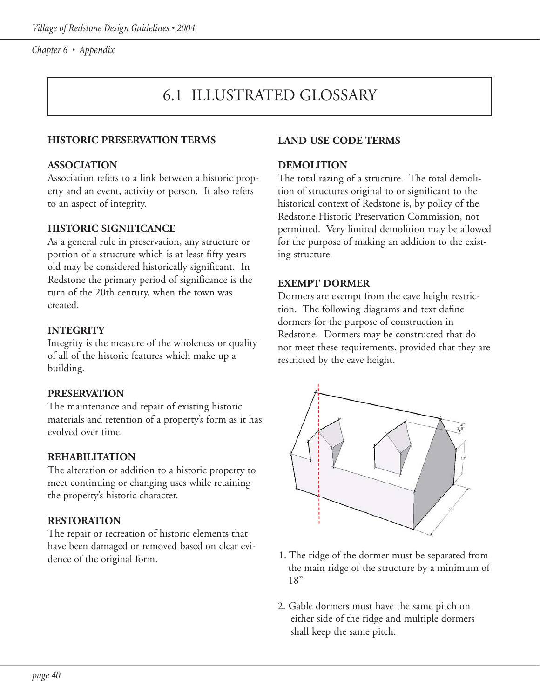# 6.1 ILLUSTRATED GLOSSARY

#### **HISTORIC PRESERVATION TERMS**

#### **ASSOCIATION**

Association refers to a link between a historic property and an event, activity or person. It also refers to an aspect of integrity.

#### **HISTORIC SIGNIFICANCE**

As a general rule in preservation, any structure or portion of a structure which is at least fifty years old may be considered historically significant. In Redstone the primary period of significance is the turn of the 20th century, when the town was created.

#### **INTEGRITY**

Integrity is the measure of the wholeness or quality of all of the historic features which make up a building.

#### **PRESERVATION**

The maintenance and repair of existing historic materials and retention of a property's form as it has evolved over time.

#### **REHABILITATION**

The alteration or addition to a historic property to meet continuing or changing uses while retaining the property's historic character.

#### **RESTORATION**

The repair or recreation of historic elements that have been damaged or removed based on clear evidence of the original form.

#### **LAND USE CODE TERMS**

#### **DEMOLITION**

The total razing of a structure. The total demolition of structures original to or significant to the historical context of Redstone is, by policy of the Redstone Historic Preservation Commission, not permitted. Very limited demolition may be allowed for the purpose of making an addition to the existing structure.

#### **EXEMPT DORMER**

Dormers are exempt from the eave height restriction. The following diagrams and text define dormers for the purpose of construction in Redstone. Dormers may be constructed that do not meet these requirements, provided that they are restricted by the eave height.



- 1. The ridge of the dormer must be separated from the main ridge of the structure by a minimum of 18"
- 2. Gable dormers must have the same pitch on either side of the ridge and multiple dormers shall keep the same pitch.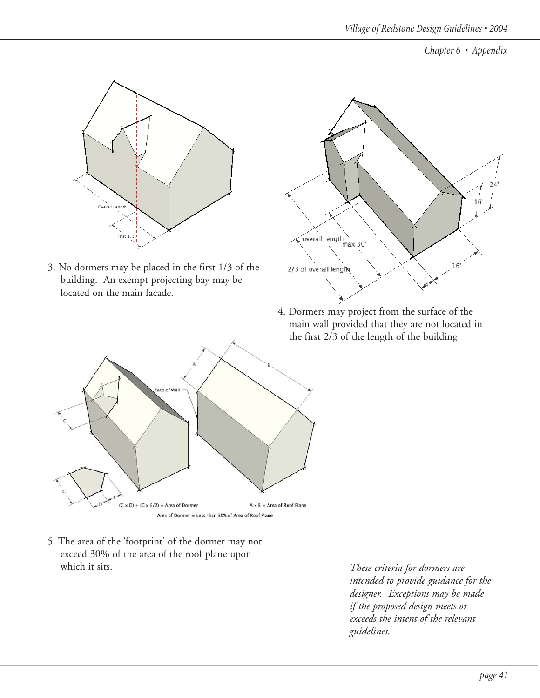

3. No dormers may be placed in the first 1/3 of the building. An exempt projecting bay may be located on the main facade.



4. Dormers may project from the surface of the main wall provided that they are not located in the first 2/3 of the length of the building



5. The area of the 'footprint' of the dormer may not exceed 30% of the area of the roof plane upon which it sits.

*These criteria for dormers are intended to provide guidance for the designer. Exceptions may be made if the proposed design meets or exceeds the intent of the relevant guidelines.*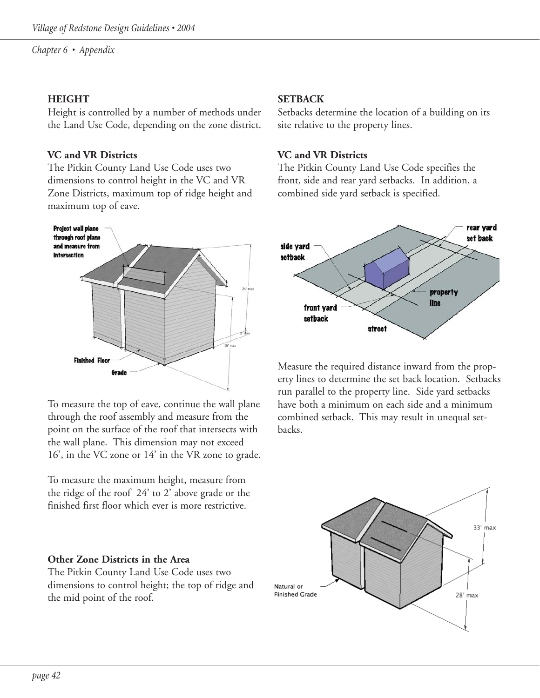#### **HEIGHT**

Height is controlled by a number of methods under the Land Use Code, depending on the zone district.

#### **VC and VR Districts**

The Pitkin County Land Use Code uses two dimensions to control height in the VC and VR Zone Districts, maximum top of ridge height and maximum top of eave.



To measure the top of eave, continue the wall plane through the roof assembly and measure from the point on the surface of the roof that intersects with the wall plane. This dimension may not exceed 16', in the VC zone or 14' in the VR zone to grade.

To measure the maximum height, measure from the ridge of the roof 24' to 2' above grade or the finished first floor which ever is more restrictive.

#### **Other Zone Districts in the Area**

The Pitkin County Land Use Code uses two dimensions to control height; the top of ridge and the mid point of the roof.

#### **SETBACK**

Setbacks determine the location of a building on its site relative to the property lines.

#### **VC and VR Districts**

The Pitkin County Land Use Code specifies the front, side and rear yard setbacks. In addition, a combined side yard setback is specified.



Measure the required distance inward from the property lines to determine the set back location. Setbacks run parallel to the property line. Side yard setbacks have both a minimum on each side and a minimum combined setback. This may result in unequal setbacks.

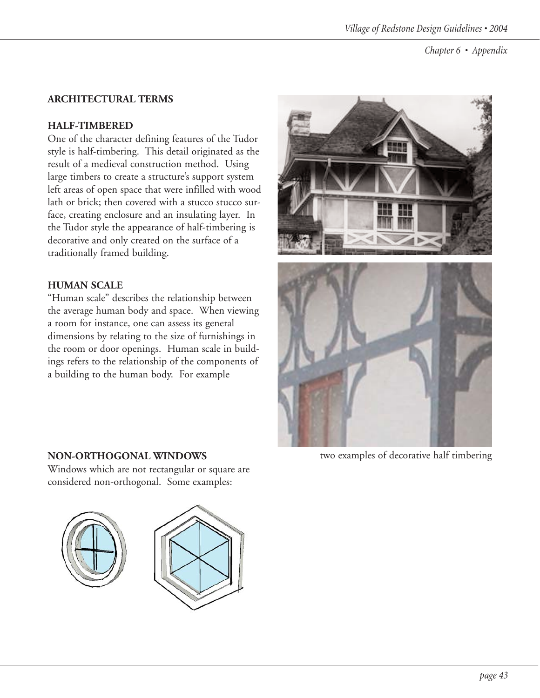### **ARCHITECTURAL TERMS**

### **HALF-TIMBERED**

One of the character defining features of the Tudor style is half-timbering. This detail originated as the result of a medieval construction method. Using large timbers to create a structure's support system left areas of open space that were infilled with wood lath or brick; then covered with a stucco stucco surface, creating enclosure and an insulating layer. In the Tudor style the appearance of half-timbering is decorative and only created on the surface of a traditionally framed building.

### **HUMAN SCALE**

"Human scale" describes the relationship between the average human body and space. When viewing a room for instance, one can assess its general dimensions by relating to the size of furnishings in the room or door openings. Human scale in buildings refers to the relationship of the components of a building to the human body. For example

Windows which are not rectangular or square are considered non-orthogonal. Some examples:



**NON-ORTHOGONAL WINDOWS** two examples of decorative half timbering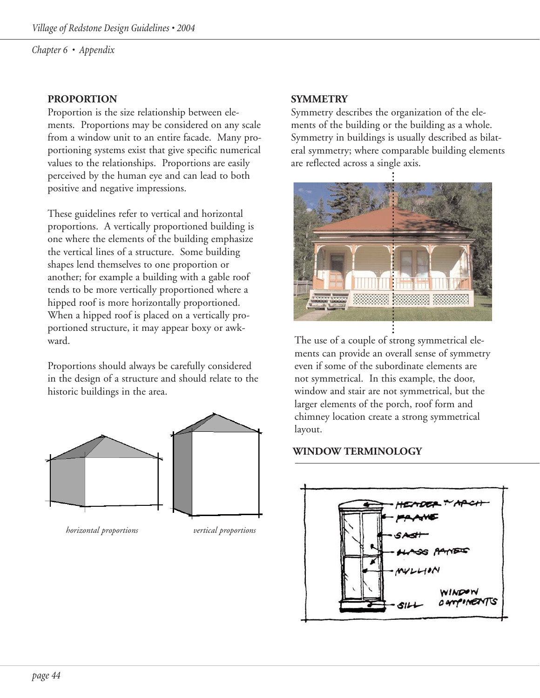#### **PROPORTION**

Proportion is the size relationship between elements. Proportions may be considered on any scale from a window unit to an entire facade. Many proportioning systems exist that give specific numerical values to the relationships. Proportions are easily perceived by the human eye and can lead to both positive and negative impressions.

These guidelines refer to vertical and horizontal proportions. A vertically proportioned building is one where the elements of the building emphasize the vertical lines of a structure. Some building shapes lend themselves to one proportion or another; for example a building with a gable roof tends to be more vertically proportioned where a hipped roof is more horizontally proportioned. When a hipped roof is placed on a vertically proportioned structure, it may appear boxy or awkward.

Proportions should always be carefully considered in the design of a structure and should relate to the historic buildings in the area.



*horizontal proportions vertical proportions*

#### **SYMMETRY**

Symmetry describes the organization of the elements of the building or the building as a whole. Symmetry in buildings is usually described as bilateral symmetry; where comparable building elements are reflected across a single axis.



The use of a couple of strong symmetrical elements can provide an overall sense of symmetry even if some of the subordinate elements are not symmetrical. In this example, the door, window and stair are not symmetrical, but the larger elements of the porch, roof form and chimney location create a strong symmetrical layout.

#### **WINDOW TERMINOLOGY**

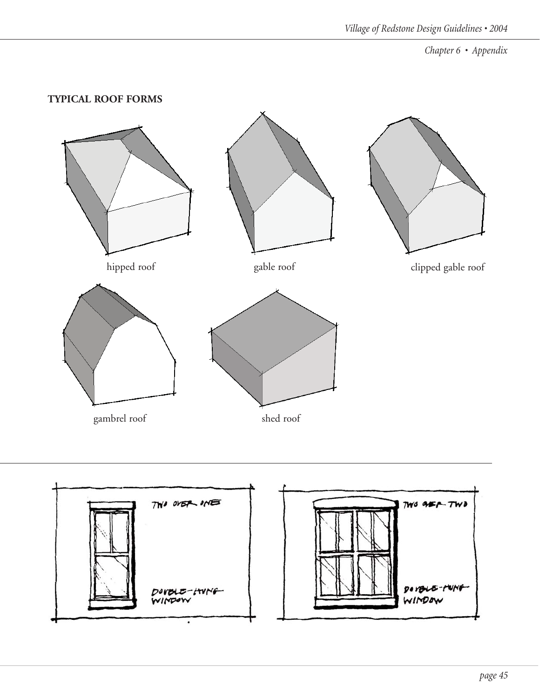#### **TYPICAL ROOF FORMS**



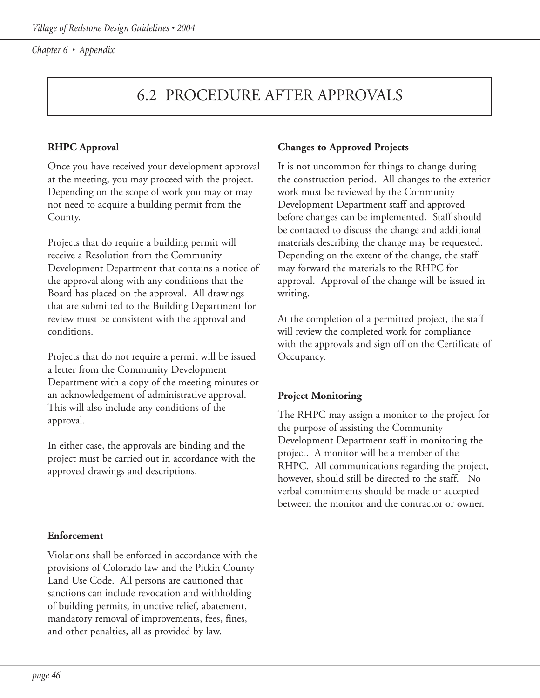# 6.2 PROCEDURE AFTER APPROVALS

### **RHPC Approval**

Once you have received your development approval at the meeting, you may proceed with the project. Depending on the scope of work you may or may not need to acquire a building permit from the County.

Projects that do require a building permit will receive a Resolution from the Community Development Department that contains a notice of the approval along with any conditions that the Board has placed on the approval. All drawings that are submitted to the Building Department for review must be consistent with the approval and conditions.

Projects that do not require a permit will be issued a letter from the Community Development Department with a copy of the meeting minutes or an acknowledgement of administrative approval. This will also include any conditions of the approval.

In either case, the approvals are binding and the project must be carried out in accordance with the approved drawings and descriptions.

#### **Enforcement**

Violations shall be enforced in accordance with the provisions of Colorado law and the Pitkin County Land Use Code. All persons are cautioned that sanctions can include revocation and withholding of building permits, injunctive relief, abatement, mandatory removal of improvements, fees, fines, and other penalties, all as provided by law.

#### **Changes to Approved Projects**

It is not uncommon for things to change during the construction period. All changes to the exterior work must be reviewed by the Community Development Department staff and approved before changes can be implemented. Staff should be contacted to discuss the change and additional materials describing the change may be requested. Depending on the extent of the change, the staff may forward the materials to the RHPC for approval. Approval of the change will be issued in writing.

At the completion of a permitted project, the staff will review the completed work for compliance with the approvals and sign off on the Certificate of Occupancy.

#### **Project Monitoring**

The RHPC may assign a monitor to the project for the purpose of assisting the Community Development Department staff in monitoring the project. A monitor will be a member of the RHPC. All communications regarding the project, however, should still be directed to the staff. No verbal commitments should be made or accepted between the monitor and the contractor or owner.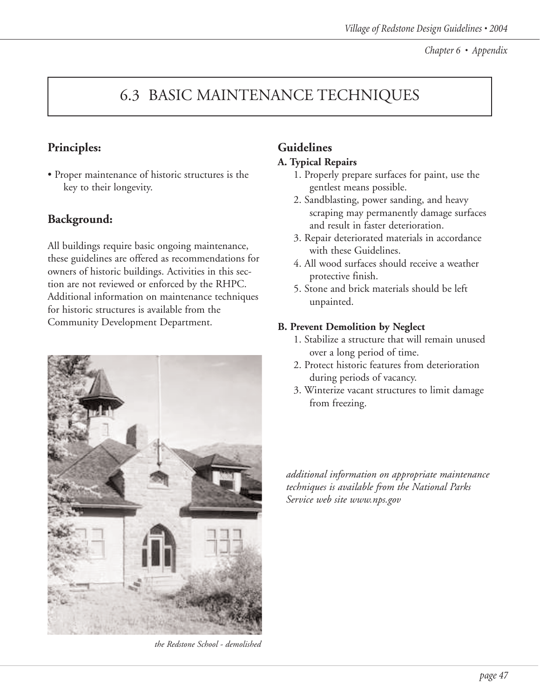# 6.3 BASIC MAINTENANCE TECHNIQUES

### **Principles:**

• Proper maintenance of historic structures is the key to their longevity.

### **Background:**

All buildings require basic ongoing maintenance, these guidelines are offered as recommendations for owners of historic buildings. Activities in this section are not reviewed or enforced by the RHPC. Additional information on maintenance techniques for historic structures is available from the Community Development Department.



*the Redstone School - demolished*

### **Guidelines**

#### **A. Typical Repairs**

- 1. Properly prepare surfaces for paint, use the gentlest means possible.
- 2. Sandblasting, power sanding, and heavy scraping may permanently damage surfaces and result in faster deterioration.
- 3. Repair deteriorated materials in accordance with these Guidelines.
- 4. All wood surfaces should receive a weather protective finish.
- 5. Stone and brick materials should be left unpainted.

#### **B. Prevent Demolition by Neglect**

- 1. Stabilize a structure that will remain unused over a long period of time.
- 2. Protect historic features from deterioration during periods of vacancy.
- 3. Winterize vacant structures to limit damage from freezing.

*additional information on appropriate maintenance techniques is available from the National Parks Service web site www.nps.gov*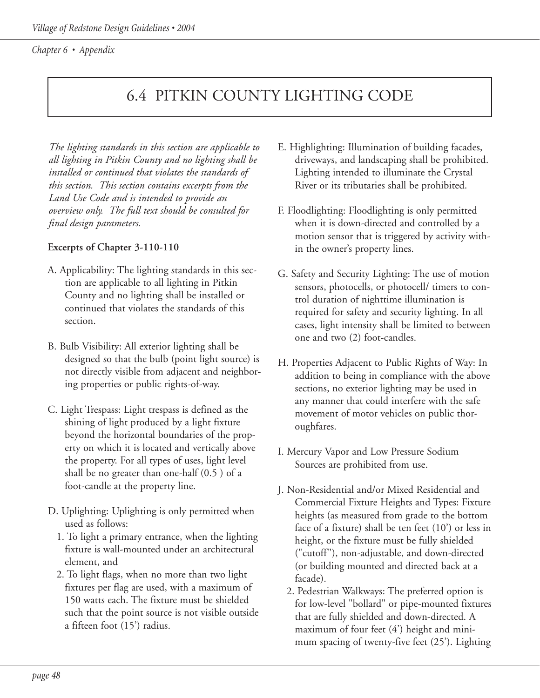# 6.4 PITKIN COUNTY LIGHTING CODE

*The lighting standards in this section are applicable to all lighting in Pitkin County and no lighting shall be installed or continued that violates the standards of this section. This section contains excerpts from the Land Use Code and is intended to provide an overview only. The full text should be consulted for final design parameters.*

#### **Excerpts of Chapter 3-110-110**

- A. Applicability: The lighting standards in this section are applicable to all lighting in Pitkin County and no lighting shall be installed or continued that violates the standards of this section.
- B. Bulb Visibility: All exterior lighting shall be designed so that the bulb (point light source) is not directly visible from adjacent and neighboring properties or public rights-of-way.
- C. Light Trespass: Light trespass is defined as the shining of light produced by a light fixture beyond the horizontal boundaries of the property on which it is located and vertically above the property. For all types of uses, light level shall be no greater than one-half (0.5 ) of a foot-candle at the property line.
- D. Uplighting: Uplighting is only permitted when used as follows:
	- 1. To light a primary entrance, when the lighting fixture is wall-mounted under an architectural element, and
	- 2. To light flags, when no more than two light fixtures per flag are used, with a maximum of 150 watts each. The fixture must be shielded such that the point source is not visible outside a fifteen foot (15') radius.
- E. Highlighting: Illumination of building facades, driveways, and landscaping shall be prohibited. Lighting intended to illuminate the Crystal River or its tributaries shall be prohibited.
- F. Floodlighting: Floodlighting is only permitted when it is down-directed and controlled by a motion sensor that is triggered by activity within the owner's property lines.
- G. Safety and Security Lighting: The use of motion sensors, photocells, or photocell/ timers to control duration of nighttime illumination is required for safety and security lighting. In all cases, light intensity shall be limited to between one and two (2) foot-candles.
- H. Properties Adjacent to Public Rights of Way: In addition to being in compliance with the above sections, no exterior lighting may be used in any manner that could interfere with the safe movement of motor vehicles on public thoroughfares.
- I. Mercury Vapor and Low Pressure Sodium Sources are prohibited from use.
- J. Non-Residential and/or Mixed Residential and Commercial Fixture Heights and Types: Fixture heights (as measured from grade to the bottom face of a fixture) shall be ten feet (10') or less in height, or the fixture must be fully shielded ("cutoff"), non-adjustable, and down-directed (or building mounted and directed back at a facade).
	- 2. Pedestrian Walkways: The preferred option is for low-level "bollard" or pipe-mounted fixtures that are fully shielded and down-directed. A maximum of four feet (4') height and minimum spacing of twenty-five feet (25'). Lighting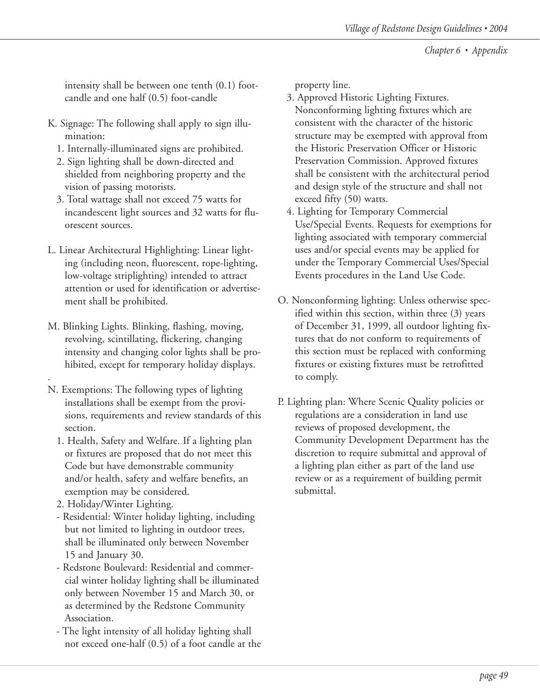intensity shall be between one tenth (0.1) footcandle and one half (0.5) foot-candle

- K. Signage: The following shall apply to sign illumination:
	- 1. Internally-illuminated signs are prohibited.
	- 2. Sign lighting shall be down-directed and shielded from neighboring property and the vision of passing motorists.
	- 3. Total wattage shall not exceed 75 watts for incandescent light sources and 32 watts for fluorescent sources.
- L. Linear Architectural Highlighting: Linear lighting (including neon, fluorescent, rope-lighting, low-voltage striplighting) intended to attract attention or used for identification or advertisement shall be prohibited.
- M. Blinking Lights. Blinking, flashing, moving, revolving, scintillating, flickering, changing intensity and changing color lights shall be prohibited, except for temporary holiday displays.
- . N. Exemptions: The following types of lighting installations shall be exempt from the provisions, requirements and review standards of this section.
	- 1. Health, Safety and Welfare. If a lighting plan or fixtures are proposed that do not meet this Code but have demonstrable community and/or health, safety and welfare benefits, an exemption may be considered.
	- 2. Holiday/Winter Lighting.
	- Residential: Winter holiday lighting, including but not limited to lighting in outdoor trees, shall be illuminated only between November 15 and January 30.
	- Redstone Boulevard: Residential and commercial winter holiday lighting shall be illuminated only between November 15 and March 30, or as determined by the Redstone Community Association.
	- The light intensity of all holiday lighting shall not exceed one-half (0.5) of a foot candle at the

property line.

- 3. Approved Historic Lighting Fixtures. Nonconforming lighting fixtures which are consistent with the character of the historic structure may be exempted with approval from the Historic Preservation Officer or Historic Preservation Commission. Approved fixtures shall be consistent with the architectural period and design style of the structure and shall not exceed fifty (50) watts.
- 4. Lighting for Temporary Commercial Use/Special Events. Requests for exemptions for lighting associated with temporary commercial uses and/or special events may be applied for under the Temporary Commercial Uses/Special Events procedures in the Land Use Code.
- O. Nonconforming lighting: Unless otherwise specified within this section, within three (3) years of December 31, 1999, all outdoor lighting fixtures that do not conform to requirements of this section must be replaced with conforming fixtures or existing fixtures must be retrofitted to comply.
- P. Lighting plan: Where Scenic Quality policies or regulations are a consideration in land use reviews of proposed development, the Community Development Department has the discretion to require submittal and approval of a lighting plan either as part of the land use review or as a requirement of building permit submittal.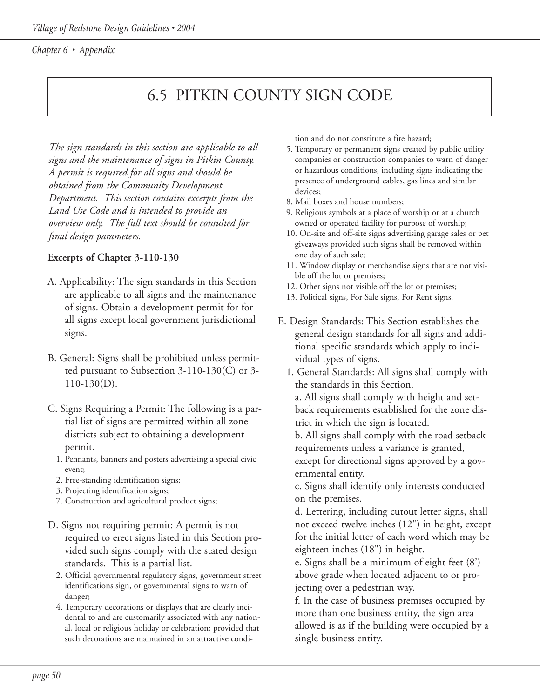# 6.5 PITKIN COUNTY SIGN CODE

*The sign standards in this section are applicable to all signs and the maintenance of signs in Pitkin County. A permit is required for all signs and should be obtained from the Community Development Department. This section contains excerpts from the Land Use Code and is intended to provide an overview only. The full text should be consulted for final design parameters.*

#### **Excerpts of Chapter 3-110-130**

- A. Applicability: The sign standards in this Section are applicable to all signs and the maintenance of signs. Obtain a development permit for for all signs except local government jurisdictional signs.
- B. General: Signs shall be prohibited unless permitted pursuant to Subsection 3-110-130(C) or 3- 110-130(D).
- C. Signs Requiring a Permit: The following is a partial list of signs are permitted within all zone districts subject to obtaining a development permit.
	- 1. Pennants, banners and posters advertising a special civic event;
	- 2. Free-standing identification signs;
	- 3. Projecting identification signs;
	- 7. Construction and agricultural product signs;
- D. Signs not requiring permit: A permit is not required to erect signs listed in this Section provided such signs comply with the stated design standards. This is a partial list.
	- 2. Official governmental regulatory signs, government street identifications sign, or governmental signs to warn of danger;
	- 4. Temporary decorations or displays that are clearly incidental to and are customarily associated with any national, local or religious holiday or celebration; provided that such decorations are maintained in an attractive condi-

tion and do not constitute a fire hazard;

- 5. Temporary or permanent signs created by public utility companies or construction companies to warn of danger or hazardous conditions, including signs indicating the presence of underground cables, gas lines and similar devices;
- 8. Mail boxes and house numbers;
- 9. Religious symbols at a place of worship or at a church owned or operated facility for purpose of worship;
- 10. On-site and off-site signs advertising garage sales or pet giveaways provided such signs shall be removed within one day of such sale;
- 11. Window display or merchandise signs that are not visible off the lot or premises;
- 12. Other signs not visible off the lot or premises;
- 13. Political signs, For Sale signs, For Rent signs.
- E. Design Standards: This Section establishes the general design standards for all signs and additional specific standards which apply to individual types of signs.
	- 1. General Standards: All signs shall comply with the standards in this Section.

a. All signs shall comply with height and setback requirements established for the zone district in which the sign is located.

b. All signs shall comply with the road setback requirements unless a variance is granted,

except for directional signs approved by a governmental entity.

c. Signs shall identify only interests conducted on the premises.

d. Lettering, including cutout letter signs, shall not exceed twelve inches (12") in height, except for the initial letter of each word which may be eighteen inches (18") in height.

e. Signs shall be a minimum of eight feet (8') above grade when located adjacent to or projecting over a pedestrian way.

f. In the case of business premises occupied by more than one business entity, the sign area allowed is as if the building were occupied by a single business entity.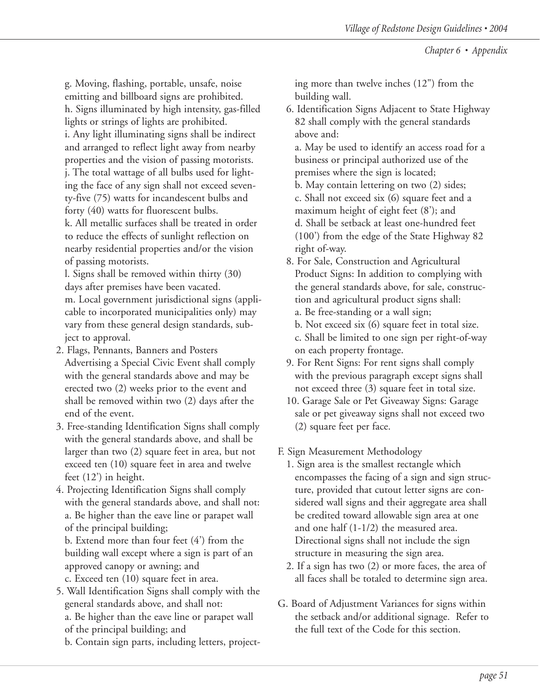g. Moving, flashing, portable, unsafe, noise emitting and billboard signs are prohibited. h. Signs illuminated by high intensity, gas-filled

lights or strings of lights are prohibited.

i. Any light illuminating signs shall be indirect and arranged to reflect light away from nearby properties and the vision of passing motorists. j. The total wattage of all bulbs used for lighting the face of any sign shall not exceed seventy-five (75) watts for incandescent bulbs and forty (40) watts for fluorescent bulbs.

k. All metallic surfaces shall be treated in order to reduce the effects of sunlight reflection on nearby residential properties and/or the vision of passing motorists.

l. Signs shall be removed within thirty (30) days after premises have been vacated. m. Local government jurisdictional signs (applicable to incorporated municipalities only) may vary from these general design standards, subject to approval.

- 2. Flags, Pennants, Banners and Posters Advertising a Special Civic Event shall comply with the general standards above and may be erected two (2) weeks prior to the event and shall be removed within two (2) days after the end of the event.
- 3. Free-standing Identification Signs shall comply with the general standards above, and shall be larger than two (2) square feet in area, but not exceed ten (10) square feet in area and twelve feet (12') in height.
- 4. Projecting Identification Signs shall comply with the general standards above, and shall not: a. Be higher than the eave line or parapet wall of the principal building;

b. Extend more than four feet (4') from the building wall except where a sign is part of an approved canopy or awning; and

c. Exceed ten (10) square feet in area.

- 5. Wall Identification Signs shall comply with the general standards above, and shall not: a. Be higher than the eave line or parapet wall of the principal building; and
	- b. Contain sign parts, including letters, project-

ing more than twelve inches (12") from the building wall.

6. Identification Signs Adjacent to State Highway 82 shall comply with the general standards above and:

a. May be used to identify an access road for a business or principal authorized use of the premises where the sign is located;

- b. May contain lettering on two (2) sides;
- c. Shall not exceed six (6) square feet and a maximum height of eight feet (8'); and d. Shall be setback at least one-hundred feet (100') from the edge of the State Highway 82
- right of-way. 8. For Sale, Construction and Agricultural Product Signs: In addition to complying with the general standards above, for sale, construction and agricultural product signs shall:
	- a. Be free-standing or a wall sign;
	- b. Not exceed six (6) square feet in total size. c. Shall be limited to one sign per right-of-way

on each property frontage.

- 9. For Rent Signs: For rent signs shall comply with the previous paragraph except signs shall not exceed three (3) square feet in total size.
- 10. Garage Sale or Pet Giveaway Signs: Garage sale or pet giveaway signs shall not exceed two (2) square feet per face.

F. Sign Measurement Methodology

- 1. Sign area is the smallest rectangle which encompasses the facing of a sign and sign structure, provided that cutout letter signs are considered wall signs and their aggregate area shall be credited toward allowable sign area at one and one half (1-1/2) the measured area. Directional signs shall not include the sign structure in measuring the sign area.
- 2. If a sign has two (2) or more faces, the area of all faces shall be totaled to determine sign area.
- G. Board of Adjustment Variances for signs within the setback and/or additional signage. Refer to the full text of the Code for this section.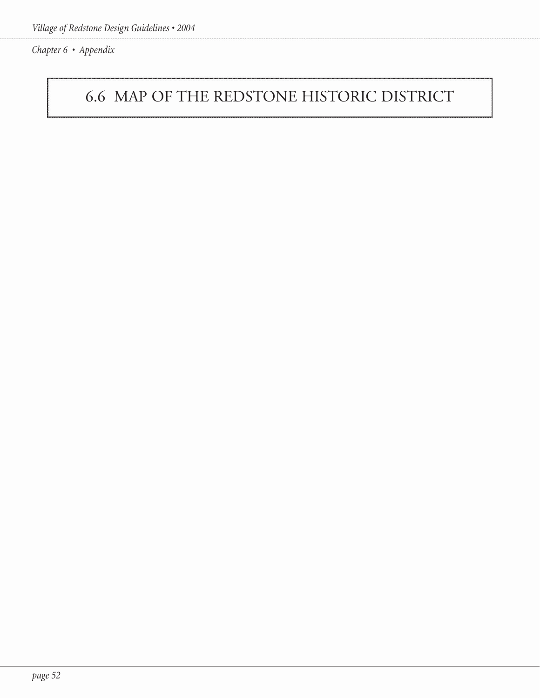# 6.6 MAP OF THE REDSTONE HISTORIC DISTRICT